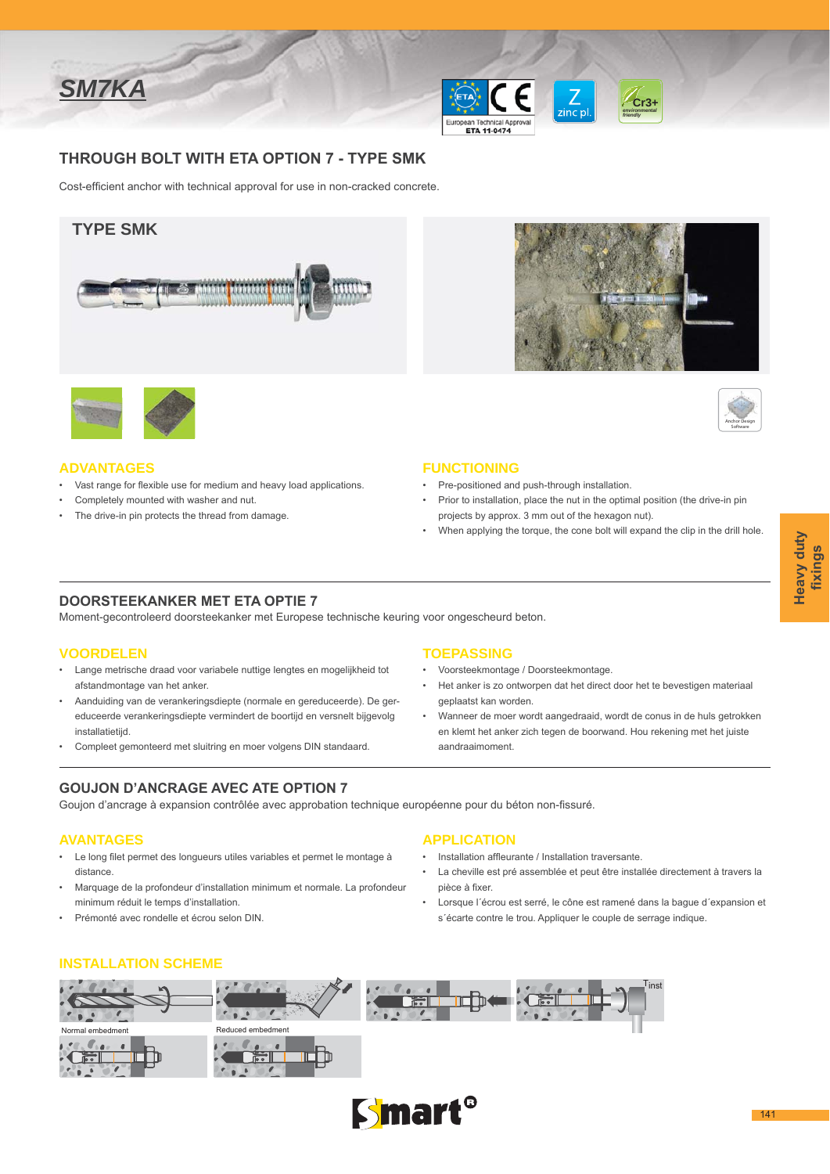





THROUGH BOLT WITH ETA OPTION 7 - TYPE SMK

Cost-efficient anchor with technical approval for use in non-cracked concrete.





#### **ADVANTAGES**

- Vast range for flexible use for medium and heavy load applications.
- Completely mounted with washer and nut.
- The drive-in pin protects the thread from damage.





#### **FUNCTIONING**

- Pre-positioned and push-through installation.
- Prior to installation, place the nut in the optimal position (the drive-in pin projects by approx. 3 mm out of the hexagon nut).
- When applying the torque, the cone bolt will expand the clip in the drill hole.

### **DOORSTEEKANKER MET ETA OPTIE 7**

Moment-gecontroleerd doorsteekanker met Europese technische keuring voor ongescheurd beton.

### **VOORDELEN**

- Lange metrische draad voor variabele nuttige lengtes en mogelijkheid tot afstandmontage van het anker.
- Aanduiding van de verankeringsdiepte (normale en gereduceerde). De gereduceerde verankeringsdiepte vermindert de boortijd en versnelt bijgevolg installatietiid.
- Compleet gemonteerd met sluitring en moer volgens DIN standaard.

# **GOUJON D'ANCRAGE AVEC ATE OPTION 7**

Goujon d'ancrage à expansion contrôlée avec approbation technique européenne pour du béton non-fissuré.

### **AVANTAGES**

- Le long filet permet des longueurs utiles variables et permet le montage à distance.
- Marquage de la profondeur d'installation minimum et normale. La profondeur minimum réduit le temps d'installation.
- Prémonté avec rondelle et écrou selon DIN.

### **TOEPASSING**

- · Voorsteekmontage / Doorsteekmontage.
- Het anker is zo ontworpen dat het direct door het te bevestigen materiaal geplaatst kan worden.
- Wanneer de moer wordt aangedraaid, wordt de conus in de huls getrokken en klemt het anker zich tegen de boorwand. Hou rekening met het juiste aandraaimoment.

## **APPLICATION**

- · Installation affleurante / Installation traversante.
- · La cheville est pré assemblée et peut être installée directement à travers la pièce à fixer.
- · Lorsque l'écrou est serré, le cône est ramené dans la bague d'expansion et s'écarte contre le trou. Appliquer le couple de serrage indique.

### **INSTALLATION SCHEME**



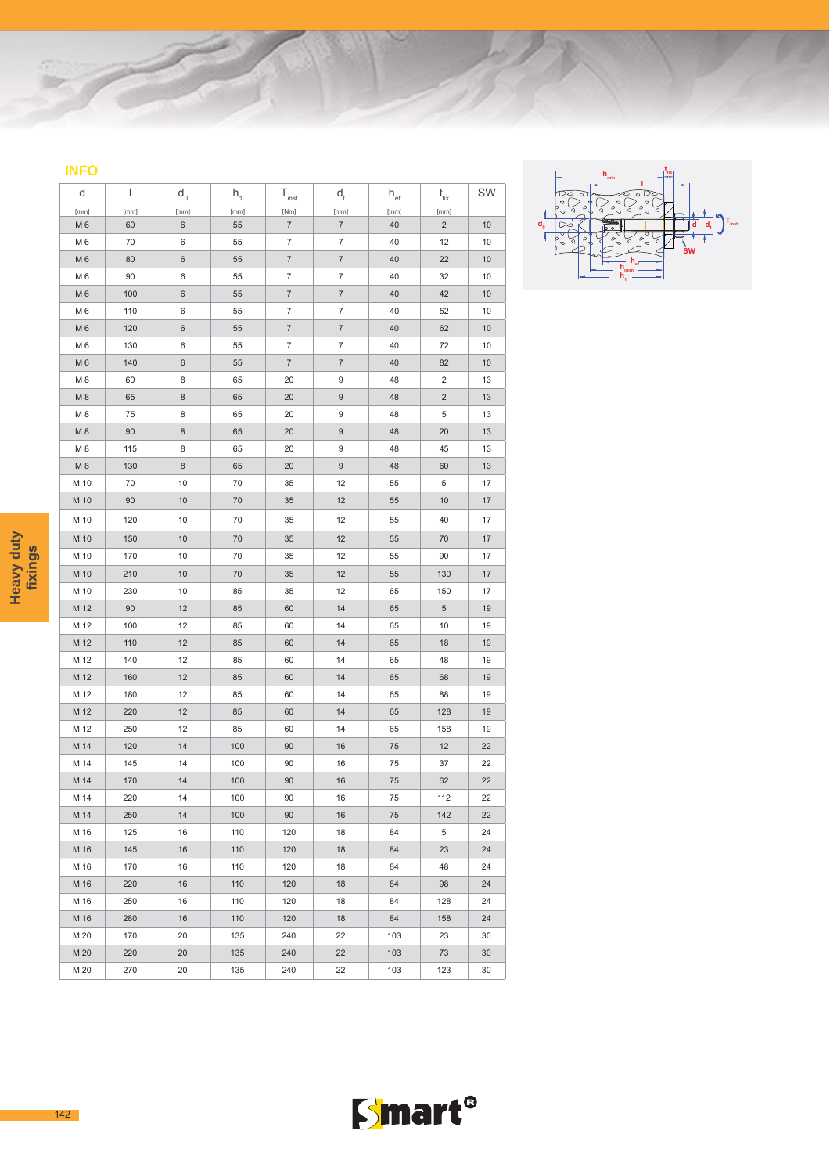| ۰ | __<br><b>Contract Contract Contract Contract Contract Contract Contract Contract Contract Contract Contract Contract C</b><br>۔۔۔۔ |   |
|---|------------------------------------------------------------------------------------------------------------------------------------|---|
|   | -<br><b>Contract Contract Contract Contract Contract Contract Contract Contract Contract Contract Contract Contract Co</b>         |   |
|   |                                                                                                                                    | - |

| d                      | I          | $d_0$          | $h_1$      | $T_{inst}$                        | $d_f$                     | $\mathsf{h}_{\scriptscriptstyle{\text{ef}}}$ | $t_{\rm fix}$           | SW |
|------------------------|------------|----------------|------------|-----------------------------------|---------------------------|----------------------------------------------|-------------------------|----|
| [mm]<br>M <sub>6</sub> | [mm]<br>60 | [mm]<br>6      | [mm]<br>55 | [Nm]<br>$\overline{\mathfrak{c}}$ | [mm]<br>$\overline{7}$    | [mm]<br>40                                   | [mm]<br>$\overline{c}$  | 10 |
| M <sub>6</sub>         | 70         | 6              | 55         | $\overline{7}$                    | 7                         | 40                                           | 12                      | 10 |
| M <sub>6</sub>         | 80         | $6\phantom{1}$ | 55         | $\overline{7}$                    | $\overline{7}$            | 40                                           | 22                      | 10 |
| M <sub>6</sub>         | 90         | 6              | 55         | $\overline{7}$                    | 7                         | 40                                           | 32                      | 10 |
| M <sub>6</sub>         | 100        | $\,6$          | 55         | $\overline{\mathfrak{c}}$         | $\overline{\mathcal{I}}$  | 40                                           | 42                      | 10 |
| M <sub>6</sub>         | 110        | 6              | 55         | $\overline{7}$                    | $\overline{\mathfrak{c}}$ | 40                                           | 52                      | 10 |
| M <sub>6</sub>         | 120        | $\,6$          | 55         | $\overline{\mathcal{I}}$          | $\overline{\mathcal{I}}$  | 40                                           | 62                      | 10 |
| M <sub>6</sub>         | 130        | 6              | 55         | $\overline{7}$                    | 7                         | 40                                           | 72                      | 10 |
| M <sub>6</sub>         | 140        | $\,6$          | 55         | $\overline{\mathfrak{c}}$         | $\overline{\mathcal{I}}$  | 40                                           | 82                      | 10 |
| M <sub>8</sub>         | 60         | 8              | 65         | 20                                | 9                         | 48                                           | $\overline{\mathbf{c}}$ | 13 |
| M <sub>8</sub>         | 65         | $\bf8$         | 65         | 20                                | $\boldsymbol{9}$          | 48                                           | $\overline{\mathbf{c}}$ | 13 |
| M <sub>8</sub>         | 75         | 8              | 65         | 20                                | 9                         | 48                                           | 5                       | 13 |
| M 8                    | 90         | $\bf8$         | 65         | 20                                | $\boldsymbol{9}$          | 48                                           | 20                      | 13 |
| M <sub>8</sub>         | 115        | 8              | 65         | 20                                | 9                         | 48                                           | 45                      | 13 |
| M 8                    | 130        | $\bf8$         | 65         | 20                                | $9\,$                     | 48                                           | 60                      | 13 |
| M 10                   | 70         | 10             | 70         | 35                                | 12                        | 55                                           | 5                       | 17 |
| M 10                   | 90         | 10             | 70         | 35                                | 12                        | 55                                           | 10                      | 17 |
| M 10                   | 120        | 10             | 70         | 35                                | 12                        | 55                                           | 40                      | 17 |
| M 10                   | 150        | 10             | 70         | 35                                | 12                        | 55                                           | 70                      | 17 |
| M 10                   | 170        | 10             | 70         | 35                                | 12                        | 55                                           | 90                      | 17 |
| M 10                   | 210        | 10             | 70         | 35                                | 12                        | 55                                           | 130                     | 17 |
| M 10                   | 230        | 10             | 85         | 35                                | 12                        | 65                                           | 150                     | 17 |
| M 12                   | 90         | 12             | 85         | 60                                | 14                        | 65                                           | 5                       | 19 |
| M 12                   | 100        | 12             | 85         | 60                                | 14                        | 65                                           | 10                      | 19 |
| M 12                   | 110        | 12             | 85         | 60                                | 14                        | 65                                           | 18                      | 19 |
| M 12                   | 140        | 12             | 85         | 60                                | 14                        | 65                                           | 48                      | 19 |
| M 12                   | 160        | 12             | 85         | 60                                | 14                        | 65                                           | 68                      | 19 |
| M 12                   | 180        | 12             | 85         | 60                                | 14                        | 65                                           | 88                      | 19 |
| M 12                   | 220        | 12             | 85         | 60                                | 14                        | 65                                           | 128                     | 19 |
| M 12                   | 250        | 12             | 85         | 60                                | 14                        | 65                                           | 158                     | 19 |
| M 14                   | 120        | 14             | 100        | 90                                | 16                        | 75                                           | 12                      | 22 |
| M 14                   | 145        | 14             | 100        | 90                                | 16                        | 75                                           | 37                      | 22 |
| M 14                   | 170        | 14             | 100        | 90                                | 16                        | 75                                           | 62                      | 22 |
| M 14                   | 220        | 14             | 100        | 90                                | 16                        | 75                                           | 112                     | 22 |
| M 14                   | 250        | 14             | 100        | 90                                | 16                        | 75                                           | 142                     | 22 |
| M 16                   | 125        | 16             | 110        | 120                               | 18                        | 84                                           | 5                       | 24 |
| M 16                   | 145        | 16             | 110        | 120                               | 18                        | 84                                           | 23                      | 24 |
| M 16                   | 170        | 16             | 110        | 120                               | 18                        | 84                                           | 48                      | 24 |
| M 16                   | 220        | 16             | 110        | 120                               | 18                        | 84                                           | 98                      | 24 |
| M 16                   | 250        | 16             | 110        | 120                               | 18                        | 84                                           | 128                     | 24 |
| M 16                   | 280        | 16             | 110        | 120                               | 18                        | 84                                           | 158                     | 24 |
| M 20                   | 170        | 20             | 135        | 240                               | 22                        | 103                                          | 23                      | 30 |
| M 20                   | 220        | 20             | 135        | 240                               | 22                        | 103                                          | 73                      | 30 |
| M 20                   | 270        | 20             | 135        | 240                               | 22                        | 103                                          | 123                     | 30 |



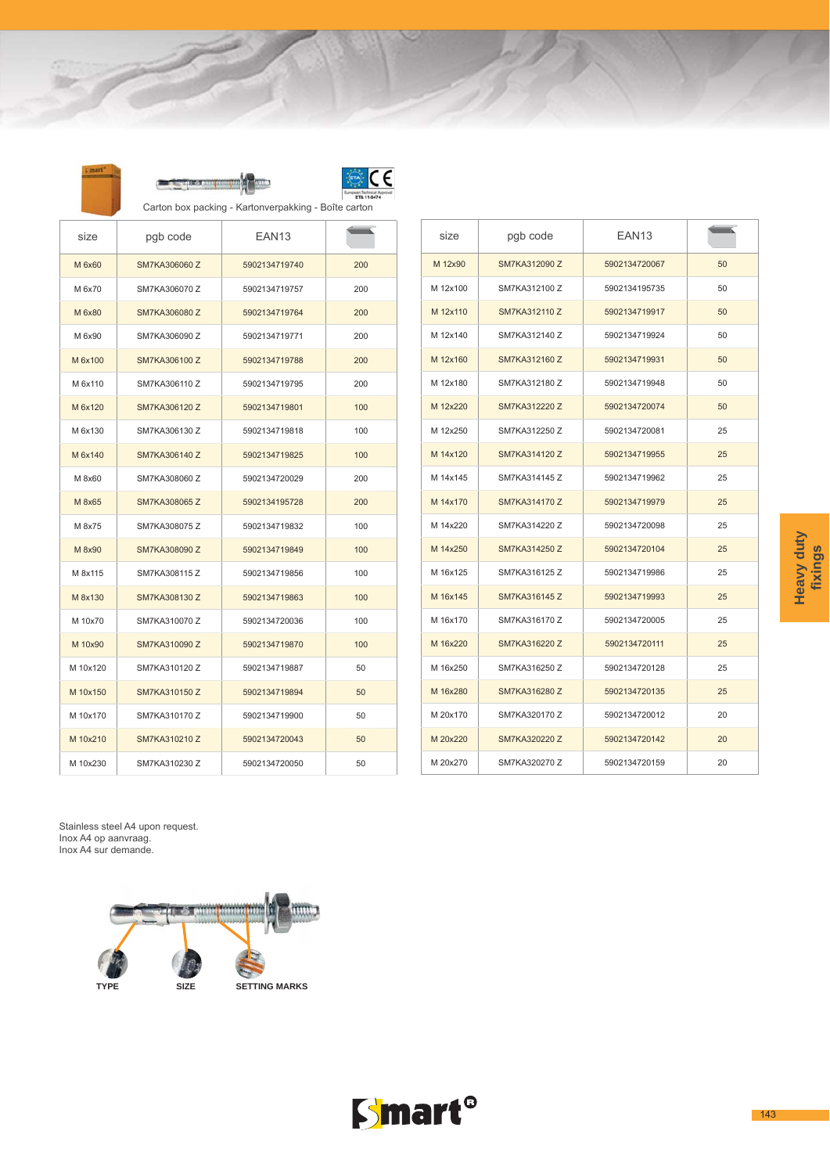|          |               | Carton box packing - Kartonverpakking - Boîte carton |     |  |
|----------|---------------|------------------------------------------------------|-----|--|
| size     | pgb code      | EAN <sub>13</sub>                                    |     |  |
| M 6x60   | SM7KA306060 Z | 5902134719740                                        | 200 |  |
| M 6x70   | SM7KA306070 Z | 5902134719757                                        | 200 |  |
| M 6x80   | SM7KA306080 Z | 5902134719764                                        | 200 |  |
| M 6x90   | SM7KA306090 Z | 5902134719771                                        | 200 |  |
| M 6x100  | SM7KA306100 Z | 5902134719788                                        | 200 |  |
| M 6x110  | SM7KA306110 Z | 5902134719795                                        | 200 |  |
| M 6x120  | SM7KA306120 Z | 5902134719801                                        | 100 |  |
| M 6x130  | SM7KA306130 Z | 5902134719818                                        | 100 |  |
| M 6x140  | SM7KA306140 Z | 5902134719825                                        | 100 |  |
| M 8x60   | SM7KA308060 Z | 5902134720029                                        | 200 |  |
| M 8x65   | SM7KA308065 Z | 5902134195728                                        | 200 |  |
| M 8x75   | SM7KA308075 Z | 5902134719832                                        | 100 |  |
| M 8x90   | SM7KA308090 Z | 5902134719849                                        | 100 |  |
| M 8x115  | SM7KA308115 Z | 5902134719856                                        | 100 |  |
| M 8x130  | SM7KA308130 Z | 5902134719863                                        | 100 |  |
| M 10x70  | SM7KA310070 Z | 5902134720036                                        | 100 |  |
| M 10x90  | SM7KA310090 Z | 5902134719870                                        | 100 |  |
| M 10x120 | SM7KA310120 Z | 5902134719887                                        | 50  |  |
| M 10x150 | SM7KA310150 Z | 5902134719894                                        | 50  |  |
| M 10x170 | SM7KA310170 Z | 5902134719900                                        | 50  |  |
| M 10x210 | SM7KA310210 Z | 5902134720043                                        | 50  |  |
| M 10x230 | SM7KA310230 Z | 5902134720050                                        | 50  |  |

| size     | pgb code             | EAN <sub>13</sub> |    |
|----------|----------------------|-------------------|----|
| M 12x90  | SM7KA312090 Z        | 5902134720067     | 50 |
| M 12x100 | SM7KA312100 Z        | 5902134195735     | 50 |
| M 12x110 | SM7KA312110 Z        | 5902134719917     | 50 |
| M 12x140 | SM7KA312140 Z        | 5902134719924     | 50 |
| M 12x160 | SM7KA312160 Z        | 5902134719931     | 50 |
| M 12x180 | SM7KA312180 Z        | 5902134719948     | 50 |
| M 12x220 | SM7KA312220 Z        | 5902134720074     | 50 |
| M 12x250 | SM7KA312250 Z        | 5902134720081     | 25 |
| M 14x120 | SM7KA314120 Z        | 5902134719955     | 25 |
| M 14x145 | SM7KA314145 Z        | 5902134719962     | 25 |
| M 14x170 | <b>SM7KA314170 Z</b> | 5902134719979     | 25 |
| M 14x220 | SM7KA314220 Z        | 5902134720098     | 25 |
| M 14x250 | SM7KA314250 Z        | 5902134720104     | 25 |
| M 16x125 | SM7KA316125 Z        | 5902134719986     | 25 |
| M 16x145 | SM7KA316145 Z        | 5902134719993     | 25 |
| M 16x170 | SM7KA316170 Z        | 5902134720005     | 25 |
| M 16x220 | SM7KA316220 Z        | 5902134720111     | 25 |
| M 16x250 | SM7KA316250 Z        | 5902134720128     | 25 |
| M 16x280 | SM7KA316280 Z        | 5902134720135     | 25 |
| M 20x170 | SM7KA320170 Z        | 5902134720012     | 20 |
| M 20x220 | SM7KA320220 Z        | 5902134720142     | 20 |
| M 20x270 | SM7KA320270 Z        | 5902134720159     | 20 |

Stainless steel A4 upon request.<br>Inox A4 op aanvraag.<br>Inox A4 sur demande.